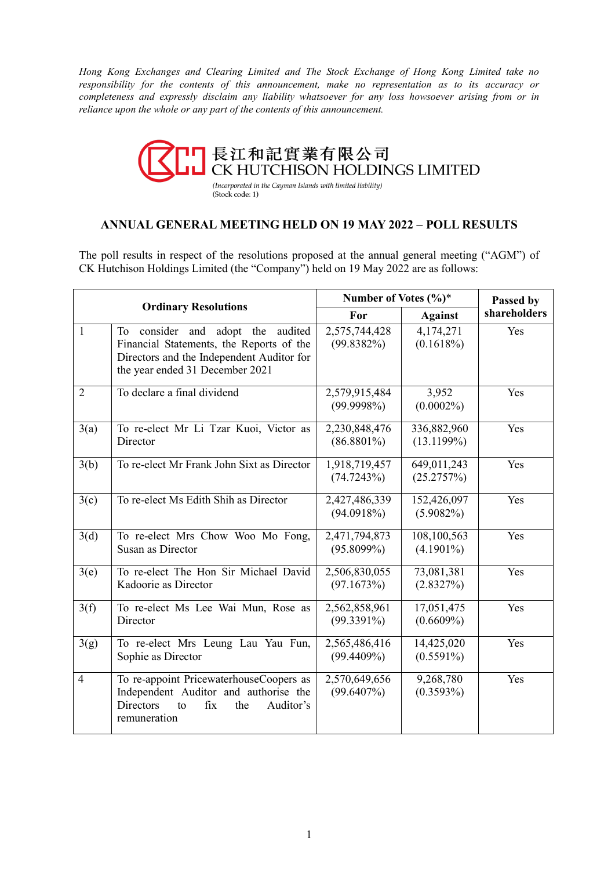*Hong Kong Exchanges and Clearing Limited and The Stock Exchange of Hong Kong Limited take no responsibility for the contents of this announcement, make no representation as to its accuracy or completeness and expressly disclaim any liability whatsoever for any loss howsoever arising from or in reliance upon the whole or any part of the contents of this announcement.*



# **ANNUAL GENERAL MEETING HELD ON 19 MAY 2022 – POLL RESULTS**

The poll results in respect of the resolutions proposed at the annual general meeting ("AGM") of CK Hutchison Holdings Limited (the "Company") held on 19 May 2022 are as follows:

| <b>Ordinary Resolutions</b> |                                                                                                                                                                     | Number of Votes $(\%)^*$       |                             | Passed by    |
|-----------------------------|---------------------------------------------------------------------------------------------------------------------------------------------------------------------|--------------------------------|-----------------------------|--------------|
|                             |                                                                                                                                                                     | For                            | <b>Against</b>              | shareholders |
| $\mathbf{1}$                | consider and adopt the<br>audited<br>To<br>Financial Statements, the Reports of the<br>Directors and the Independent Auditor for<br>the year ended 31 December 2021 | 2,575,744,428<br>$(99.8382\%)$ | 4,174,271<br>(0.1618%)      | Yes          |
| $\overline{2}$              | To declare a final dividend                                                                                                                                         | 2,579,915,484<br>(99.9998%)    | 3,952<br>$(0.0002\%)$       | Yes          |
| 3(a)                        | To re-elect Mr Li Tzar Kuoi, Victor as<br>Director                                                                                                                  | 2,230,848,476<br>$(86.8801\%)$ | 336,882,960<br>(13.1199%)   | Yes          |
| 3(b)                        | To re-elect Mr Frank John Sixt as Director                                                                                                                          | 1,918,719,457<br>(74.7243%)    | 649,011,243<br>(25.2757%)   | Yes          |
| 3(c)                        | To re-elect Ms Edith Shih as Director                                                                                                                               | 2,427,486,339<br>(94.0918%)    | 152,426,097<br>$(5.9082\%)$ | Yes          |
| 3(d)                        | To re-elect Mrs Chow Woo Mo Fong,<br>Susan as Director                                                                                                              | 2,471,794,873<br>$(95.8099\%)$ | 108,100,563<br>$(4.1901\%)$ | Yes          |
| 3(e)                        | To re-elect The Hon Sir Michael David<br>Kadoorie as Director                                                                                                       | 2,506,830,055<br>(97.1673%)    | 73,081,381<br>(2.8327%)     | Yes          |
| 3(f)                        | To re-elect Ms Lee Wai Mun, Rose as<br>Director                                                                                                                     | 2,562,858,961<br>$(99.3391\%)$ | 17,051,475<br>$(0.6609\%)$  | Yes          |
| 3(g)                        | To re-elect Mrs Leung Lau Yau Fun,<br>Sophie as Director                                                                                                            | 2,565,486,416<br>(99.4409%)    | 14,425,020<br>$(0.5591\%)$  | Yes          |
| $\overline{4}$              | To re-appoint PricewaterhouseCoopers as<br>Independent Auditor and authorise the<br>fix<br>the<br>Auditor's<br>Directors<br>to<br>remuneration                      | 2,570,649,656<br>(99.6407%)    | 9,268,780<br>$(0.3593\%)$   | Yes          |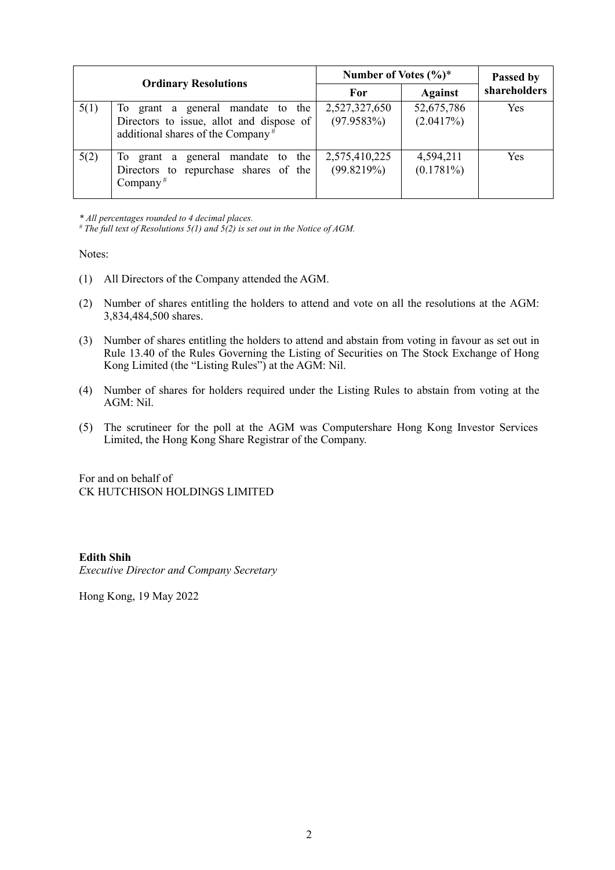| <b>Ordinary Resolutions</b> |                                                                                                                                | Number of Votes $(\%)^*$    |                           | Passed by    |
|-----------------------------|--------------------------------------------------------------------------------------------------------------------------------|-----------------------------|---------------------------|--------------|
|                             |                                                                                                                                | For                         | <b>Against</b>            | shareholders |
| 5(1)                        | To grant a general mandate to the<br>Directors to issue, allot and dispose of<br>additional shares of the Company <sup>#</sup> | 2,527,327,650<br>(97.9583%) | 52,675,786<br>(2.0417%)   | <b>Yes</b>   |
| 5(2)                        | To grant a general mandate to the<br>Directors to repurchase shares of the<br>Company <sup>#</sup>                             | 2,575,410,225<br>(99.8219%) | 4,594,211<br>$(0.1781\%)$ | Yes          |

*\* All percentages rounded to 4 decimal places.*

*# The full text of Resolutions 5(1) and 5(2) is set out in the Notice of AGM.*

Notes:

- (1) All Directors of the Company attended the AGM.
- (2) Number of shares entitling the holders to attend and vote on all the resolutions at the AGM: 3,834,484,500 shares.
- (3) Number of shares entitling the holders to attend and abstain from voting in favour as set out in Rule 13.40 of the Rules Governing the Listing of Securities on The Stock Exchange of Hong Kong Limited (the "Listing Rules") at the AGM: Nil.
- (4) Number of shares for holders required under the Listing Rules to abstain from voting at the AGM: Nil.
- (5) The scrutineer for the poll at the AGM was Computershare Hong Kong Investor Services Limited, the Hong Kong Share Registrar of the Company.

For and on behalf of CK HUTCHISON HOLDINGS LIMITED

### **Edith Shih**

*Executive Director and Company Secretary*

Hong Kong, 19 May 2022